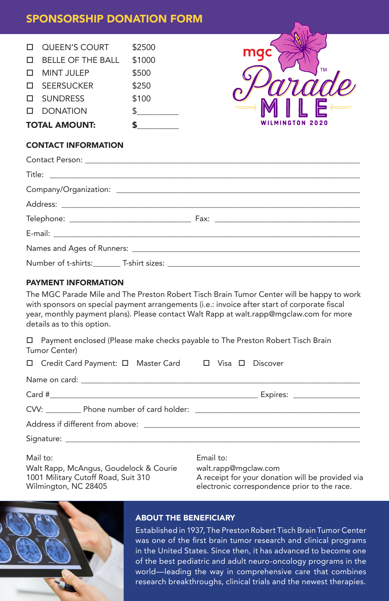## SPONSORSHIP DONATION FORM

| <b>TOTAL AMOUNT:</b> |                          | S      |
|----------------------|--------------------------|--------|
|                      | <b>II</b> DONATION       |        |
|                      | <b>D</b> SUNDRESS        | \$100  |
|                      | □ SEERSUCKER             | \$250  |
|                      | <b>D</b> MINT JULEP      | \$500  |
| $\Box$               | <b>BELLE OF THE BALL</b> | \$1000 |
|                      | <b>QUEEN'S COURT</b>     | \$2500 |
|                      |                          |        |



### CONTACT INFORMATION

## PAYMENT INFORMATION

The MGC Parade Mile and The Preston Robert Tisch Brain Tumor Center will be happy to work with sponsors on special payment arrangements (i.e.: invoice after start of corporate fiscal year, monthly payment plans). Please contact Walt Rapp at walt.rapp@mgclaw.com for more details as to this option.

 $\Box$  Payment enclosed (Please make checks payable to The Preston Robert Tisch Brain Tumor Center)

| □ Credit Card Payment: □ Master Card □ Visa □ Discover |           |  |  |  |
|--------------------------------------------------------|-----------|--|--|--|
|                                                        |           |  |  |  |
|                                                        |           |  |  |  |
|                                                        |           |  |  |  |
|                                                        |           |  |  |  |
|                                                        |           |  |  |  |
| Mail to:                                               | Email to: |  |  |  |

Walt Rapp, McAngus, Goudelock & Courie 1001 Military Cutoff Road, Suit 310 Wilmington, NC 28405

walt.rapp@mgclaw.com A receipt for your donation will be provided via electronic correspondence prior to the race.



## ABOUT THE BENEFICIARY

Established in 1937, The Preston Robert Tisch Brain Tumor Center was one of the first brain tumor research and clinical programs in the United States. Since then, it has advanced to become one of the best pediatric and adult neuro-oncology programs in the world—leading the way in comprehensive care that combines research breakthroughs, clinical trials and the newest therapies.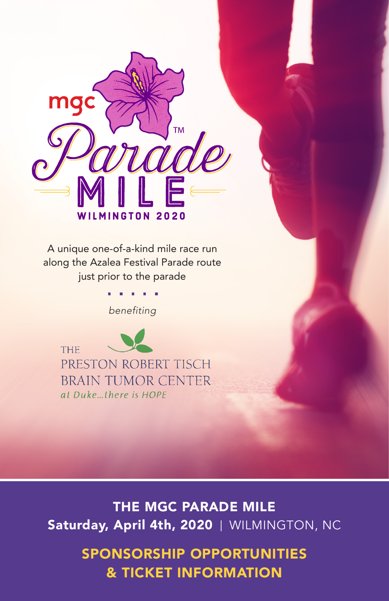

A unique one-of-a-kind mile race run along the Azalea Festival Parade route just prior to the parade

*benefiting*



THE MGC PARADE MILE Saturday, April 4th, 2020 | WILMINGTON, NC

> SPONSORSHIP OPPORTUNITIES & TICKET INFORMATION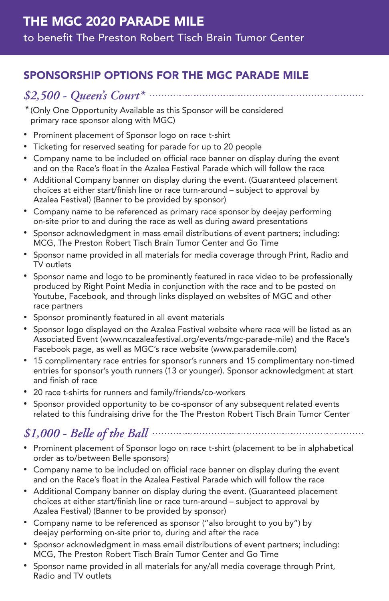# SPONSORSHIP OPTIONS FOR THE MGC PARADE MILE

# *\$2,500 - Queen's Court\**

*\** (Only One Opportunity Available as this Sponsor will be considered primary race sponsor along with MGC)

- Prominent placement of Sponsor logo on race t-shirt
- Ticketing for reserved seating for parade for up to 20 people
- Company name to be included on official race banner on display during the event and on the Race's float in the Azalea Festival Parade which will follow the race
- Additional Company banner on display during the event. (Guaranteed placement choices at either start/finish line or race turn-around – subject to approval by Azalea Festival) (Banner to be provided by sponsor)
- Company name to be referenced as primary race sponsor by deejay performing on-site prior to and during the race as well as during award presentations
- Sponsor acknowledgment in mass email distributions of event partners; including: MCG, The Preston Robert Tisch Brain Tumor Center and Go Time
- Sponsor name provided in all materials for media coverage through Print, Radio and TV outlets
- Sponsor name and logo to be prominently featured in race video to be professionally produced by Right Point Media in conjunction with the race and to be posted on Youtube, Facebook, and through links displayed on websites of MGC and other race partners
- Sponsor prominently featured in all event materials
- Sponsor logo displayed on the Azalea Festival website where race will be listed as an Associated Event (www.ncazaleafestival.org/events/mgc-parade-mile) and the Race's Facebook page, as well as MGC's race website (www.parademile.com)
- 15 complimentary race entries for sponsor's runners and 15 complimentary non-timed entries for sponsor's youth runners (13 or younger). Sponsor acknowledgment at start and finish of race
- 20 race t-shirts for runners and family/friends/co-workers
- Sponsor provided opportunity to be co-sponsor of any subsequent related events related to this fundraising drive for the The Preston Robert Tisch Brain Tumor Center

# *\$1,000 - Belle of the Ball*

- Prominent placement of Sponsor logo on race t-shirt (placement to be in alphabetical order as to/between Belle sponsors)
- Company name to be included on official race banner on display during the event and on the Race's float in the Azalea Festival Parade which will follow the race
- Additional Company banner on display during the event. (Guaranteed placement choices at either start/finish line or race turn-around – subject to approval by Azalea Festival) (Banner to be provided by sponsor)
- Company name to be referenced as sponsor ("also brought to you by") by deejay performing on-site prior to, during and after the race
- Sponsor acknowledgment in mass email distributions of event partners; including: MCG, The Preston Robert Tisch Brain Tumor Center and Go Time
- Sponsor name provided in all materials for any/all media coverage through Print, Radio and TV outlets